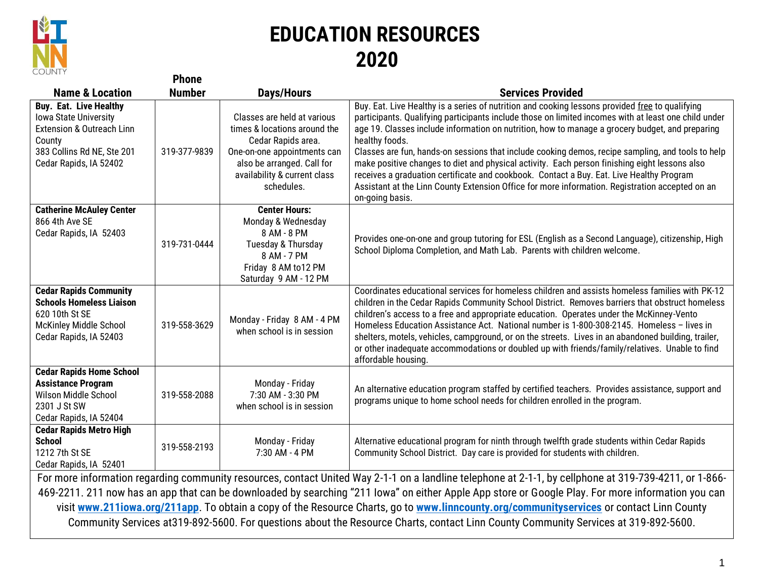

## **EDUCATION RESOURCES 2020**

| <b>COUNT</b>                                                                                                                                                            | <b>Phone</b>  |                                                                                                                                                                                              |                                                                                                                                                                                                                                                                                                                                                                                                                                                                                                                                                                                                                                                                                                                                                      |  |  |
|-------------------------------------------------------------------------------------------------------------------------------------------------------------------------|---------------|----------------------------------------------------------------------------------------------------------------------------------------------------------------------------------------------|------------------------------------------------------------------------------------------------------------------------------------------------------------------------------------------------------------------------------------------------------------------------------------------------------------------------------------------------------------------------------------------------------------------------------------------------------------------------------------------------------------------------------------------------------------------------------------------------------------------------------------------------------------------------------------------------------------------------------------------------------|--|--|
| <b>Name &amp; Location</b>                                                                                                                                              | <b>Number</b> | <b>Days/Hours</b>                                                                                                                                                                            | <b>Services Provided</b>                                                                                                                                                                                                                                                                                                                                                                                                                                                                                                                                                                                                                                                                                                                             |  |  |
| <b>Buy. Eat. Live Healthy</b><br><b>Iowa State University</b><br><b>Extension &amp; Outreach Linn</b><br>County<br>383 Collins Rd NE, Ste 201<br>Cedar Rapids, IA 52402 | 319-377-9839  | Classes are held at various<br>times & locations around the<br>Cedar Rapids area.<br>One-on-one appointments can<br>also be arranged. Call for<br>availability & current class<br>schedules. | Buy. Eat. Live Healthy is a series of nutrition and cooking lessons provided free to qualifying<br>participants. Qualifying participants include those on limited incomes with at least one child under<br>age 19. Classes include information on nutrition, how to manage a grocery budget, and preparing<br>healthy foods.<br>Classes are fun, hands-on sessions that include cooking demos, recipe sampling, and tools to help<br>make positive changes to diet and physical activity. Each person finishing eight lessons also<br>receives a graduation certificate and cookbook. Contact a Buy. Eat. Live Healthy Program<br>Assistant at the Linn County Extension Office for more information. Registration accepted on an<br>on-going basis. |  |  |
| <b>Catherine McAuley Center</b><br>866 4th Ave SE<br>Cedar Rapids, IA 52403                                                                                             | 319-731-0444  | <b>Center Hours:</b><br>Monday & Wednesday<br>8 AM - 8 PM<br>Tuesday & Thursday<br>8 AM - 7 PM<br>Friday 8 AM to 12 PM<br>Saturday 9 AM - 12 PM                                              | Provides one-on-one and group tutoring for ESL (English as a Second Language), citizenship, High<br>School Diploma Completion, and Math Lab. Parents with children welcome.                                                                                                                                                                                                                                                                                                                                                                                                                                                                                                                                                                          |  |  |
| <b>Cedar Rapids Community</b><br><b>Schools Homeless Liaison</b><br>620 10th St SE<br>McKinley Middle School<br>Cedar Rapids, IA 52403                                  | 319-558-3629  | Monday - Friday 8 AM - 4 PM<br>when school is in session                                                                                                                                     | Coordinates educational services for homeless children and assists homeless families with PK-12<br>children in the Cedar Rapids Community School District. Removes barriers that obstruct homeless<br>children's access to a free and appropriate education. Operates under the McKinney-Vento<br>Homeless Education Assistance Act. National number is 1-800-308-2145. Homeless - lives in<br>shelters, motels, vehicles, campground, or on the streets. Lives in an abandoned building, trailer,<br>or other inadequate accommodations or doubled up with friends/family/relatives. Unable to find<br>affordable housing.                                                                                                                          |  |  |
| <b>Cedar Rapids Home School</b><br><b>Assistance Program</b><br>Wilson Middle School<br>2301 J St SW<br>Cedar Rapids, IA 52404                                          | 319-558-2088  | Monday - Friday<br>7:30 AM - 3:30 PM<br>when school is in session                                                                                                                            | An alternative education program staffed by certified teachers. Provides assistance, support and<br>programs unique to home school needs for children enrolled in the program.                                                                                                                                                                                                                                                                                                                                                                                                                                                                                                                                                                       |  |  |
| <b>Cedar Rapids Metro High</b><br><b>School</b><br>1212 7th St SE<br>Cedar Rapids, IA 52401                                                                             | 319-558-2193  | Monday - Friday<br>7:30 AM - 4 PM                                                                                                                                                            | Alternative educational program for ninth through twelfth grade students within Cedar Rapids<br>Community School District. Day care is provided for students with children.                                                                                                                                                                                                                                                                                                                                                                                                                                                                                                                                                                          |  |  |
| For more information regarding community resources, contact United Way 2-1-1 on a landline telephone at 2-1-1, by cellphone at 319-739-4211, or 1-866-                  |               |                                                                                                                                                                                              |                                                                                                                                                                                                                                                                                                                                                                                                                                                                                                                                                                                                                                                                                                                                                      |  |  |
| 469-2211. 211 now has an app that can be downloaded by searching "211 Iowa" on either Apple App store or Google Play. For more information you can                      |               |                                                                                                                                                                                              |                                                                                                                                                                                                                                                                                                                                                                                                                                                                                                                                                                                                                                                                                                                                                      |  |  |
| visit www.211iowa.org/211app. To obtain a copy of the Resource Charts, go to www.linncounty.org/communityservices or contact Linn County                                |               |                                                                                                                                                                                              |                                                                                                                                                                                                                                                                                                                                                                                                                                                                                                                                                                                                                                                                                                                                                      |  |  |

Community Services at319-892-5600. For questions about the Resource Charts, contact Linn County Community Services at 319-892-5600.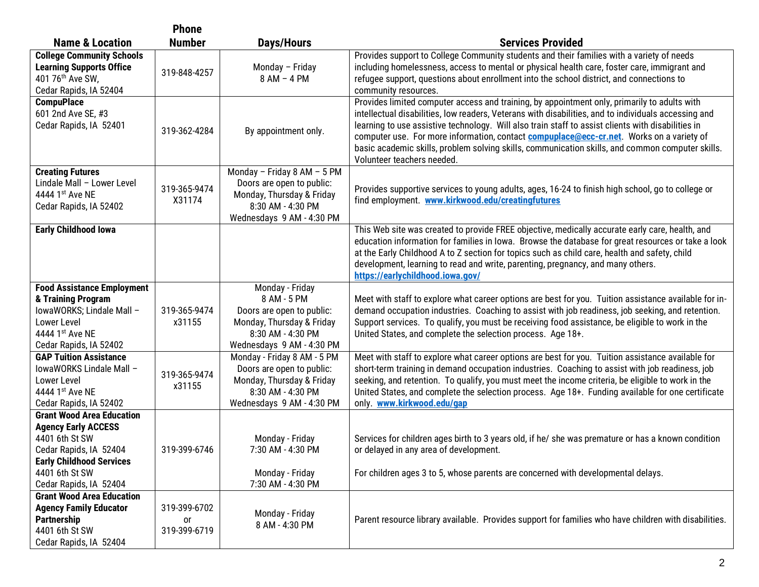|                                                                                                                                                                                           | <b>Phone</b>                       |                                                                                                                                            |                                                                                                                                                                                                                                                                                                                                                                                                                                                                                                                                                  |
|-------------------------------------------------------------------------------------------------------------------------------------------------------------------------------------------|------------------------------------|--------------------------------------------------------------------------------------------------------------------------------------------|--------------------------------------------------------------------------------------------------------------------------------------------------------------------------------------------------------------------------------------------------------------------------------------------------------------------------------------------------------------------------------------------------------------------------------------------------------------------------------------------------------------------------------------------------|
| <b>Name &amp; Location</b>                                                                                                                                                                | <b>Number</b>                      | <b>Days/Hours</b>                                                                                                                          | <b>Services Provided</b>                                                                                                                                                                                                                                                                                                                                                                                                                                                                                                                         |
| <b>College Community Schools</b><br><b>Learning Supports Office</b><br>401 76 <sup>th</sup> Ave SW,<br>Cedar Rapids, IA 52404                                                             | 319-848-4257                       | Monday - Friday<br>8 AM - 4 PM                                                                                                             | Provides support to College Community students and their families with a variety of needs<br>including homelessness, access to mental or physical health care, foster care, immigrant and<br>refugee support, questions about enrollment into the school district, and connections to<br>community resources.                                                                                                                                                                                                                                    |
| <b>CompuPlace</b><br>601 2nd Ave SE, #3<br>Cedar Rapids, IA 52401                                                                                                                         | 319-362-4284                       | By appointment only.                                                                                                                       | Provides limited computer access and training, by appointment only, primarily to adults with<br>intellectual disabilities, low readers, Veterans with disabilities, and to individuals accessing and<br>learning to use assistive technology. Will also train staff to assist clients with disabilities in<br>computer use. For more information, contact <b>compuplace@ecc-cr.net</b> . Works on a variety of<br>basic academic skills, problem solving skills, communication skills, and common computer skills.<br>Volunteer teachers needed. |
| <b>Creating Futures</b><br>Lindale Mall - Lower Level<br>4444 1st Ave NE<br>Cedar Rapids, IA 52402                                                                                        | 319-365-9474<br>X31174             | Monday - Friday 8 AM - 5 PM<br>Doors are open to public:<br>Monday, Thursday & Friday<br>8:30 AM - 4:30 PM<br>Wednesdays 9 AM - 4:30 PM    | Provides supportive services to young adults, ages, 16-24 to finish high school, go to college or<br>find employment. www.kirkwood.edu/creatingfutures                                                                                                                                                                                                                                                                                                                                                                                           |
| <b>Early Childhood lowa</b>                                                                                                                                                               |                                    |                                                                                                                                            | This Web site was created to provide FREE objective, medically accurate early care, health, and<br>education information for families in lowa. Browse the database for great resources or take a look<br>at the Early Childhood A to Z section for topics such as child care, health and safety, child<br>development, learning to read and write, parenting, pregnancy, and many others.<br>https://earlychildhood.iowa.gov/                                                                                                                    |
| <b>Food Assistance Employment</b><br>& Training Program<br>IowaWORKS; Lindale Mall -<br>Lower Level<br>4444 1st Ave NE<br>Cedar Rapids, IA 52402                                          | 319-365-9474<br>x31155             | Monday - Friday<br>8 AM - 5 PM<br>Doors are open to public:<br>Monday, Thursday & Friday<br>8:30 AM - 4:30 PM<br>Wednesdays 9 AM - 4:30 PM | Meet with staff to explore what career options are best for you. Tuition assistance available for in-<br>demand occupation industries. Coaching to assist with job readiness, job seeking, and retention.<br>Support services. To qualify, you must be receiving food assistance, be eligible to work in the<br>United States, and complete the selection process. Age 18+.                                                                                                                                                                      |
| <b>GAP Tuition Assistance</b><br>IowaWORKS Lindale Mall -<br>Lower Level<br>4444 1st Ave NE<br>Cedar Rapids, IA 52402                                                                     | 319-365-9474<br>x31155             | Monday - Friday 8 AM - 5 PM<br>Doors are open to public:<br>Monday, Thursday & Friday<br>8:30 AM - 4:30 PM<br>Wednesdays 9 AM - 4:30 PM    | Meet with staff to explore what career options are best for you. Tuition assistance available for<br>short-term training in demand occupation industries. Coaching to assist with job readiness, job<br>seeking, and retention. To qualify, you must meet the income criteria, be eligible to work in the<br>United States, and complete the selection process. Age 18+. Funding available for one certificate<br>only. www.kirkwood.edu/gap                                                                                                     |
| <b>Grant Wood Area Education</b><br><b>Agency Early ACCESS</b><br>4401 6th St SW<br>Cedar Rapids, IA 52404<br><b>Early Childhood Services</b><br>4401 6th St SW<br>Cedar Rapids, IA 52404 | 319-399-6746                       | Monday - Friday<br>7:30 AM - 4:30 PM<br>Monday - Friday<br>7:30 AM - 4:30 PM                                                               | Services for children ages birth to 3 years old, if he/ she was premature or has a known condition<br>or delayed in any area of development.<br>For children ages 3 to 5, whose parents are concerned with developmental delays.                                                                                                                                                                                                                                                                                                                 |
| <b>Grant Wood Area Education</b><br><b>Agency Family Educator</b><br>Partnership<br>4401 6th St SW<br>Cedar Rapids, IA 52404                                                              | 319-399-6702<br>or<br>319-399-6719 | Monday - Friday<br>8 AM - 4:30 PM                                                                                                          | Parent resource library available. Provides support for families who have children with disabilities.                                                                                                                                                                                                                                                                                                                                                                                                                                            |